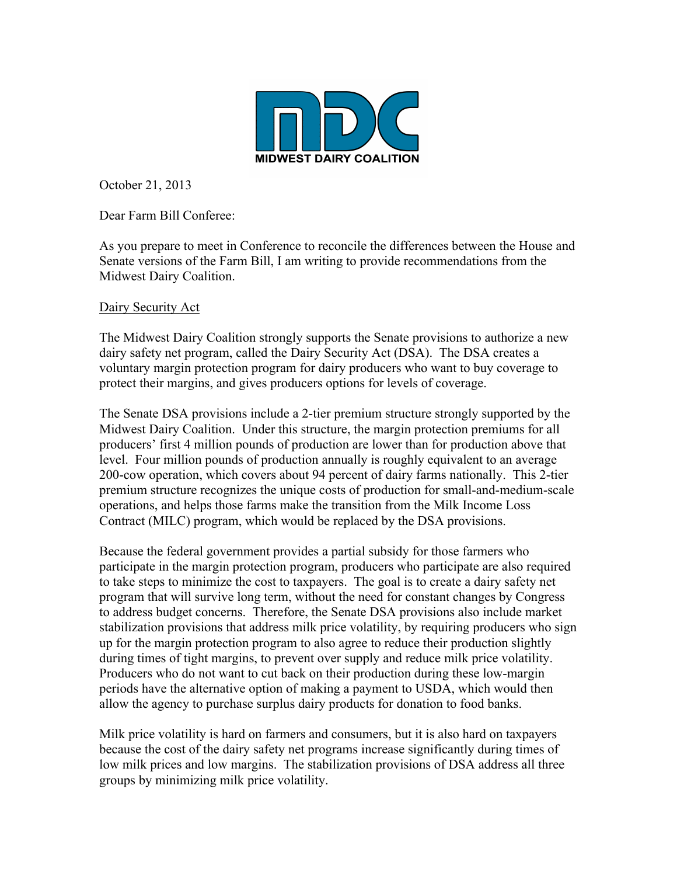

October 21, 2013

Dear Farm Bill Conferee:

As you prepare to meet in Conference to reconcile the differences between the House and Senate versions of the Farm Bill, I am writing to provide recommendations from the Midwest Dairy Coalition.

### Dairy Security Act

The Midwest Dairy Coalition strongly supports the Senate provisions to authorize a new dairy safety net program, called the Dairy Security Act (DSA). The DSA creates a voluntary margin protection program for dairy producers who want to buy coverage to protect their margins, and gives producers options for levels of coverage.

The Senate DSA provisions include a 2-tier premium structure strongly supported by the Midwest Dairy Coalition. Under this structure, the margin protection premiums for all producers' first 4 million pounds of production are lower than for production above that level. Four million pounds of production annually is roughly equivalent to an average 200-cow operation, which covers about 94 percent of dairy farms nationally. This 2-tier premium structure recognizes the unique costs of production for small-and-medium-scale operations, and helps those farms make the transition from the Milk Income Loss Contract (MILC) program, which would be replaced by the DSA provisions.

Because the federal government provides a partial subsidy for those farmers who participate in the margin protection program, producers who participate are also required to take steps to minimize the cost to taxpayers. The goal is to create a dairy safety net program that will survive long term, without the need for constant changes by Congress to address budget concerns. Therefore, the Senate DSA provisions also include market stabilization provisions that address milk price volatility, by requiring producers who sign up for the margin protection program to also agree to reduce their production slightly during times of tight margins, to prevent over supply and reduce milk price volatility. Producers who do not want to cut back on their production during these low-margin periods have the alternative option of making a payment to USDA, which would then allow the agency to purchase surplus dairy products for donation to food banks.

Milk price volatility is hard on farmers and consumers, but it is also hard on taxpayers because the cost of the dairy safety net programs increase significantly during times of low milk prices and low margins. The stabilization provisions of DSA address all three groups by minimizing milk price volatility.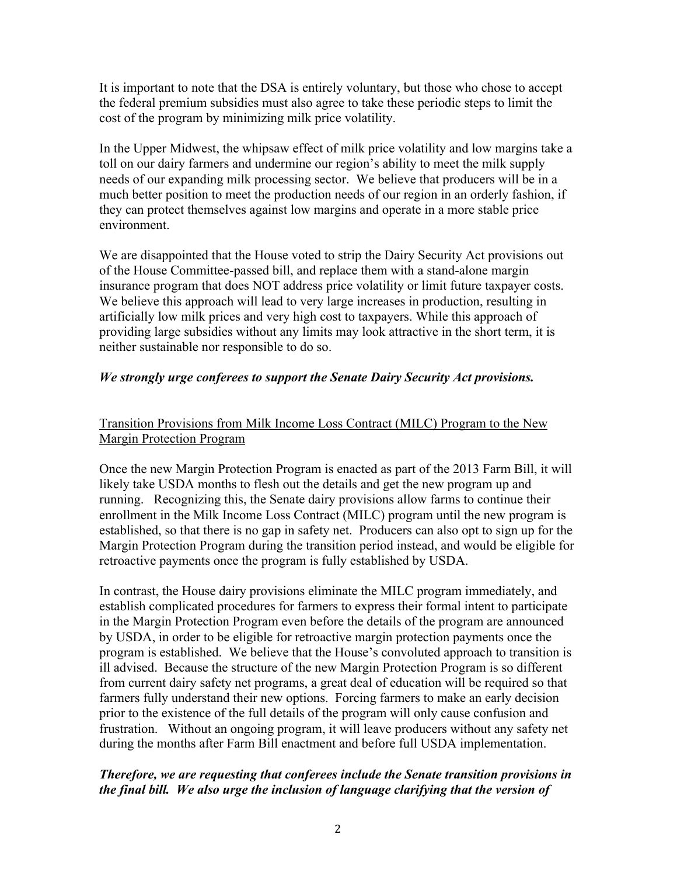It is important to note that the DSA is entirely voluntary, but those who chose to accept the federal premium subsidies must also agree to take these periodic steps to limit the cost of the program by minimizing milk price volatility.

In the Upper Midwest, the whipsaw effect of milk price volatility and low margins take a toll on our dairy farmers and undermine our region's ability to meet the milk supply needs of our expanding milk processing sector. We believe that producers will be in a much better position to meet the production needs of our region in an orderly fashion, if they can protect themselves against low margins and operate in a more stable price environment.

We are disappointed that the House voted to strip the Dairy Security Act provisions out of the House Committee-passed bill, and replace them with a stand-alone margin insurance program that does NOT address price volatility or limit future taxpayer costs. We believe this approach will lead to very large increases in production, resulting in artificially low milk prices and very high cost to taxpayers. While this approach of providing large subsidies without any limits may look attractive in the short term, it is neither sustainable nor responsible to do so.

## *We strongly urge conferees to support the Senate Dairy Security Act provisions.*

# Transition Provisions from Milk Income Loss Contract (MILC) Program to the New Margin Protection Program

Once the new Margin Protection Program is enacted as part of the 2013 Farm Bill, it will likely take USDA months to flesh out the details and get the new program up and running. Recognizing this, the Senate dairy provisions allow farms to continue their enrollment in the Milk Income Loss Contract (MILC) program until the new program is established, so that there is no gap in safety net. Producers can also opt to sign up for the Margin Protection Program during the transition period instead, and would be eligible for retroactive payments once the program is fully established by USDA.

In contrast, the House dairy provisions eliminate the MILC program immediately, and establish complicated procedures for farmers to express their formal intent to participate in the Margin Protection Program even before the details of the program are announced by USDA, in order to be eligible for retroactive margin protection payments once the program is established. We believe that the House's convoluted approach to transition is ill advised. Because the structure of the new Margin Protection Program is so different from current dairy safety net programs, a great deal of education will be required so that farmers fully understand their new options. Forcing farmers to make an early decision prior to the existence of the full details of the program will only cause confusion and frustration. Without an ongoing program, it will leave producers without any safety net during the months after Farm Bill enactment and before full USDA implementation.

# *Therefore, we are requesting that conferees include the Senate transition provisions in the final bill. We also urge the inclusion of language clarifying that the version of*